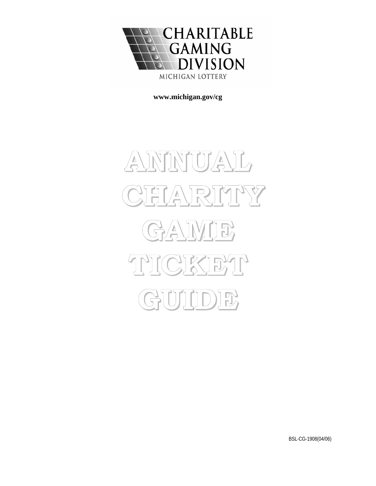

**[www.michigan.gov/cg](http://www.michigan.gov/cg)**

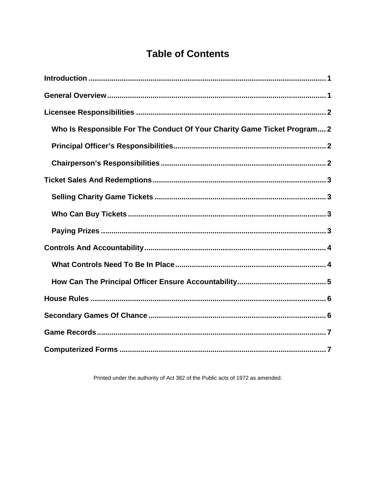# **Table of Contents**

| Who Is Responsible For The Conduct Of Your Charity Game Ticket Program 2 |
|--------------------------------------------------------------------------|
|                                                                          |
|                                                                          |
|                                                                          |
|                                                                          |
|                                                                          |
|                                                                          |
|                                                                          |
|                                                                          |
|                                                                          |
|                                                                          |
|                                                                          |
|                                                                          |
|                                                                          |

Printed under the authority of Act 382 of the Public acts of 1972 as amended.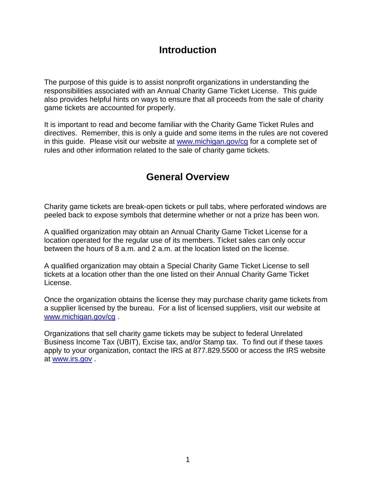### **Introduction**

<span id="page-2-0"></span>The purpose of this guide is to assist nonprofit organizations in understanding the responsibilities associated with an Annual Charity Game Ticket License. This guide also provides helpful hints on ways to ensure that all proceeds from the sale of charity game tickets are accounted for properly.

It is important to read and become familiar with the Charity Game Ticket Rules and directives. Remember, this is only a guide and some items in the rules are not covered in this guide. Please visit our website at [www.michigan.gov/cg](http://www.michigan.gov/cg) for a complete set of rules and other information related to the sale of charity game tickets.

### **General Overview**

Charity game tickets are break-open tickets or pull tabs, where perforated windows are peeled back to expose symbols that determine whether or not a prize has been won.

A qualified organization may obtain an Annual Charity Game Ticket License for a location operated for the regular use of its members. Ticket sales can only occur between the hours of 8 a.m. and 2 a.m. at the location listed on the license.

A qualified organization may obtain a Special Charity Game Ticket License to sell tickets at a location other than the one listed on their Annual Charity Game Ticket License.

Once the organization obtains the license they may purchase charity game tickets from a supplier licensed by the bureau. For a list of licensed suppliers, visit our website at [www.michigan.gov/cg](http://www.michigan.gov/cg) .

Organizations that sell charity game tickets may be subject to federal Unrelated Business Income Tax (UBIT), Excise tax, and/or Stamp tax. To find out if these taxes apply to your organization, contact the IRS at 877.829.5500 or access the IRS website at [www.irs.gov](http://www.irs.gov/) .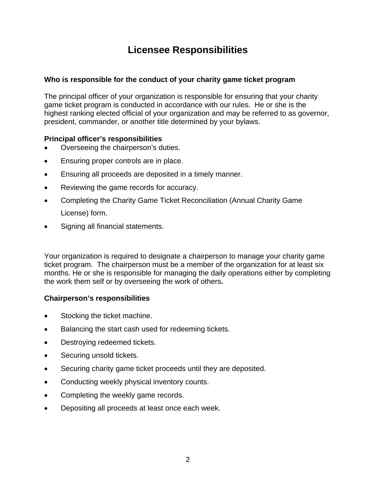## **Licensee Responsibilities**

#### <span id="page-3-0"></span>**Who is responsible for the conduct of your charity game ticket program**

The principal officer of your organization is responsible for ensuring that your charity game ticket program is conducted in accordance with our rules. He or she is the highest ranking elected official of your organization and may be referred to as governor, president, commander, or another title determined by your bylaws.

#### **Principal officer's responsibilities**

- Overseeing the chairperson's duties.
- Ensuring proper controls are in place.
- Ensuring all proceeds are deposited in a timely manner.
- Reviewing the game records for accuracy.
- Completing the Charity Game Ticket Reconciliation (Annual Charity Game License) form.
- Signing all financial statements.

Your organization is required to designate a chairperson to manage your charity game ticket program. The chairperson must be a member of the organization for at least six months. He or she is responsible for managing the daily operations either by completing the work them self or by overseeing the work of others**.** 

#### **Chairperson's responsibilities**

- Stocking the ticket machine.
- Balancing the start cash used for redeeming tickets.
- Destroying redeemed tickets.
- Securing unsold tickets.
- Securing charity game ticket proceeds until they are deposited.
- Conducting weekly physical inventory counts.
- Completing the weekly game records.
- Depositing all proceeds at least once each week.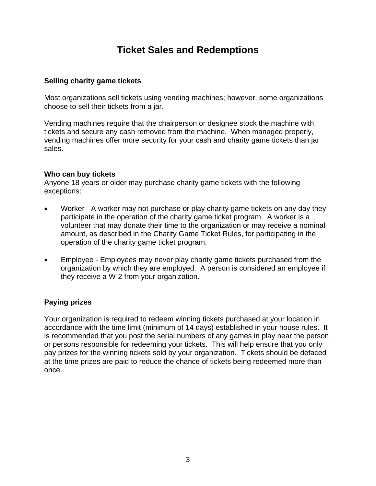### **Ticket Sales and Redemptions**

#### <span id="page-4-0"></span>**Selling charity game tickets**

Most organizations sell tickets using vending machines; however, some organizations choose to sell their tickets from a jar.

Vending machines require that the chairperson or designee stock the machine with tickets and secure any cash removed from the machine. When managed properly, vending machines offer more security for your cash and charity game tickets than jar sales.

#### **Who can buy tickets**

Anyone 18 years or older may purchase charity game tickets with the following exceptions:

- Worker A worker may not purchase or play charity game tickets on any day they participate in the operation of the charity game ticket program. A worker is a volunteer that may donate their time to the organization or may receive a nominal amount, as described in the Charity Game Ticket Rules, for participating in the operation of the charity game ticket program.
- Employee Employees may never play charity game tickets purchased from the organization by which they are employed. A person is considered an employee if they receive a W-2 from your organization.

#### **Paying prizes**

Your organization is required to redeem winning tickets purchased at your location in accordance with the time limit (minimum of 14 days) established in your house rules. It is recommended that you post the serial numbers of any games in play near the person or persons responsible for redeeming your tickets. This will help ensure that you only pay prizes for the winning tickets sold by your organization. Tickets should be defaced at the time prizes are paid to reduce the chance of tickets being redeemed more than once.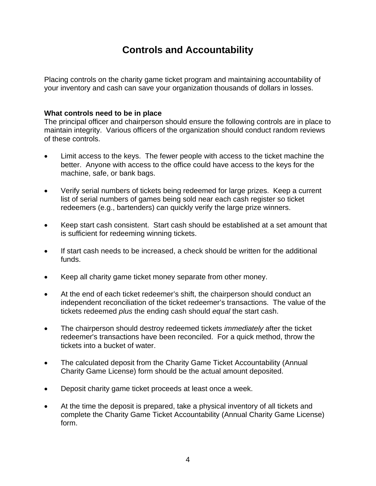## **Controls and Accountability**

<span id="page-5-0"></span>Placing controls on the charity game ticket program and maintaining accountability of your inventory and cash can save your organization thousands of dollars in losses.

#### **What controls need to be in place**

The principal officer and chairperson should ensure the following controls are in place to maintain integrity. Various officers of the organization should conduct random reviews of these controls.

- Limit access to the keys. The fewer people with access to the ticket machine the better. Anyone with access to the office could have access to the keys for the machine, safe, or bank bags.
- Verify serial numbers of tickets being redeemed for large prizes. Keep a current list of serial numbers of games being sold near each cash register so ticket redeemers (e.g., bartenders) can quickly verify the large prize winners.
- Keep start cash consistent. Start cash should be established at a set amount that is sufficient for redeeming winning tickets.
- If start cash needs to be increased, a check should be written for the additional funds.
- Keep all charity game ticket money separate from other money.
- At the end of each ticket redeemer's shift, the chairperson should conduct an independent reconciliation of the ticket redeemer's transactions. The value of the tickets redeemed *plus* the ending cash should *equal* the start cash.
- The chairperson should destroy redeemed tickets *immediately* after the ticket redeemer's transactions have been reconciled. For a quick method, throw the tickets into a bucket of water.
- The calculated deposit from the Charity Game Ticket Accountability (Annual Charity Game License) form should be the actual amount deposited.
- Deposit charity game ticket proceeds at least once a week.
- At the time the deposit is prepared, take a physical inventory of all tickets and complete the Charity Game Ticket Accountability (Annual Charity Game License) form.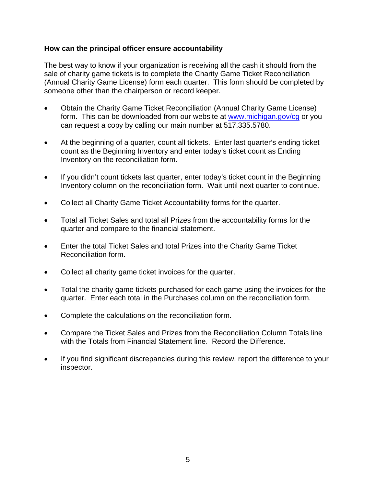#### <span id="page-6-0"></span>**How can the principal officer ensure accountability**

The best way to know if your organization is receiving all the cash it should from the sale of charity game tickets is to complete the Charity Game Ticket Reconciliation (Annual Charity Game License) form each quarter. This form should be completed by someone other than the chairperson or record keeper.

- Obtain the Charity Game Ticket Reconciliation (Annual Charity Game License) form. This can be downloaded from our website at [www.michigan.gov/cg](http://www.michigan.gov/cg) or you can request a copy by calling our main number at 517.335.5780.
- At the beginning of a quarter, count all tickets. Enter last quarter's ending ticket count as the Beginning Inventory and enter today's ticket count as Ending Inventory on the reconciliation form.
- If you didn't count tickets last quarter, enter today's ticket count in the Beginning Inventory column on the reconciliation form. Wait until next quarter to continue.
- Collect all Charity Game Ticket Accountability forms for the quarter.
- Total all Ticket Sales and total all Prizes from the accountability forms for the quarter and compare to the financial statement.
- Enter the total Ticket Sales and total Prizes into the Charity Game Ticket Reconciliation form.
- Collect all charity game ticket invoices for the quarter.
- Total the charity game tickets purchased for each game using the invoices for the quarter. Enter each total in the Purchases column on the reconciliation form.
- Complete the calculations on the reconciliation form.
- Compare the Ticket Sales and Prizes from the Reconciliation Column Totals line with the Totals from Financial Statement line. Record the Difference.
- If you find significant discrepancies during this review, report the difference to your inspector.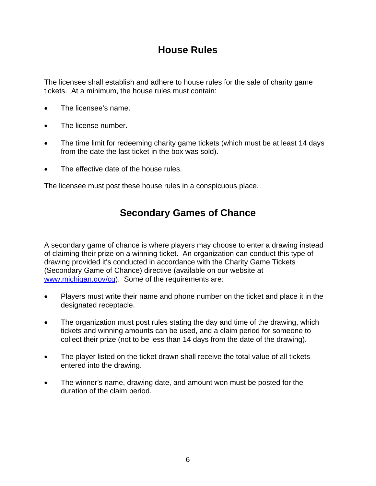## **House Rules**

<span id="page-7-0"></span>The licensee shall establish and adhere to house rules for the sale of charity game tickets. At a minimum, the house rules must contain:

- The licensee's name.
- The license number.
- The time limit for redeeming charity game tickets (which must be at least 14 days from the date the last ticket in the box was sold).
- The effective date of the house rules.

The licensee must post these house rules in a conspicuous place.

## **Secondary Games of Chance**

A secondary game of chance is where players may choose to enter a drawing instead of claiming their prize on a winning ticket. An organization can conduct this type of drawing provided it's conducted in accordance with the Charity Game Tickets (Secondary Game of Chance) directive (available on our website at [www.michigan.gov/cg](http://www.michigan.gov/cg)). Some of the requirements are:

- Players must write their name and phone number on the ticket and place it in the designated receptacle.
- The organization must post rules stating the day and time of the drawing, which tickets and winning amounts can be used, and a claim period for someone to collect their prize (not to be less than 14 days from the date of the drawing).
- The player listed on the ticket drawn shall receive the total value of all tickets entered into the drawing.
- The winner's name, drawing date, and amount won must be posted for the duration of the claim period.